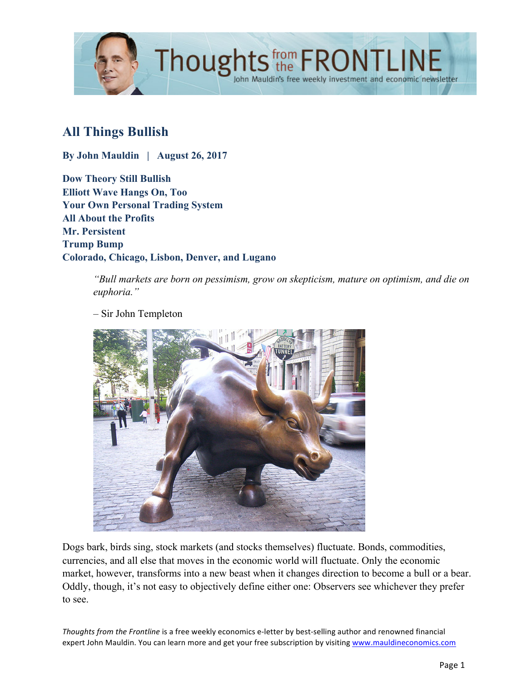

# **All Things Bullish**

**By John Mauldin | August 26, 2017**

**Dow Theory Still Bullish Elliott Wave Hangs On, Too Your Own Personal Trading System All About the Profits Mr. Persistent Trump Bump Colorado, Chicago, Lisbon, Denver, and Lugano**

> *"Bull markets are born on pessimism, grow on skepticism, mature on optimism, and die on euphoria."*



– Sir John Templeton

Dogs bark, birds sing, stock markets (and stocks themselves) fluctuate. Bonds, commodities, currencies, and all else that moves in the economic world will fluctuate. Only the economic market, however, transforms into a new beast when it changes direction to become a bull or a bear. Oddly, though, it's not easy to objectively define either one: Observers see whichever they prefer to see.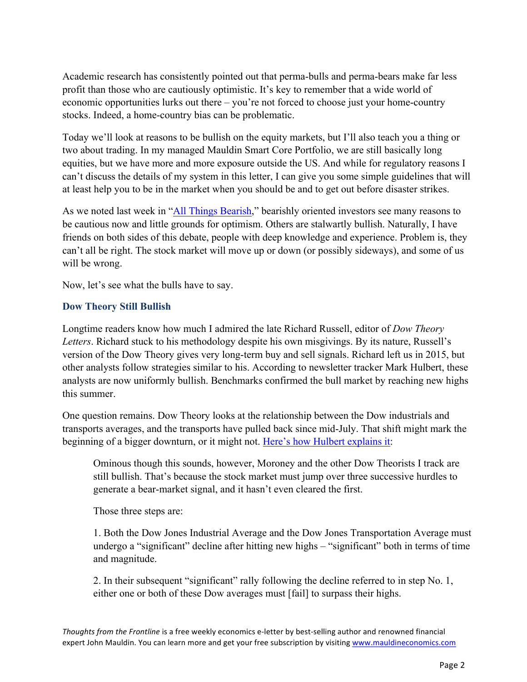Academic research has consistently pointed out that perma-bulls and perma-bears make far less profit than those who are cautiously optimistic. It's key to remember that a wide world of economic opportunities lurks out there – you're not forced to choose just your home-country stocks. Indeed, a home-country bias can be problematic.

Today we'll look at reasons to be bullish on the equity markets, but I'll also teach you a thing or two about trading. In my managed Mauldin Smart Core Portfolio, we are still basically long equities, but we have more and more exposure outside the US. And while for regulatory reasons I can't discuss the details of my system in this letter, I can give you some simple guidelines that will at least help you to be in the market when you should be and to get out before disaster strikes.

As we noted last week in ["All Things Bearish,"](http://www.mauldineconomics.com/frontlinethoughts/all-things-bearish) bearishly oriented investors see many reasons to be cautious now and little grounds for optimism. Others are stalwartly bullish. Naturally, I have friends on both sides of this debate, people with deep knowledge and experience. Problem is, they can't all be right. The stock market will move up or down (or possibly sideways), and some of us will be wrong.

Now, let's see what the bulls have to say.

### **Dow Theory Still Bullish**

Longtime readers know how much I admired the late Richard Russell, editor of *Dow Theory Letters*. Richard stuck to his methodology despite his own misgivings. By its nature, Russell's version of the Dow Theory gives very long-term buy and sell signals. Richard left us in 2015, but other analysts follow strategies similar to his. According to newsletter tracker Mark Hulbert, these analysts are now uniformly bullish. Benchmarks confirmed the bull market by reaching new highs this summer.

One question remains. Dow Theory looks at the relationship between the Dow industrials and transports averages, and the transports have pulled back since mid-July. That shift might mark the beginning of a bigger downturn, or it might not. [Here's how Hulbert explains it:](http://www.marketwatch.com/story/the-dow-theory-is-telling-us-to-chill-about-the-health-of-the-bull-market-2017-08-22)

Ominous though this sounds, however, Moroney and the other Dow Theorists I track are still bullish. That's because the stock market must jump over three successive hurdles to generate a bear-market signal, and it hasn't even cleared the first.

Those three steps are:

1. Both the Dow Jones Industrial Average and the Dow Jones Transportation Average must undergo a "significant" decline after hitting new highs – "significant" both in terms of time and magnitude.

2. In their subsequent "significant" rally following the decline referred to in step No. 1, either one or both of these Dow averages must [fail] to surpass their highs.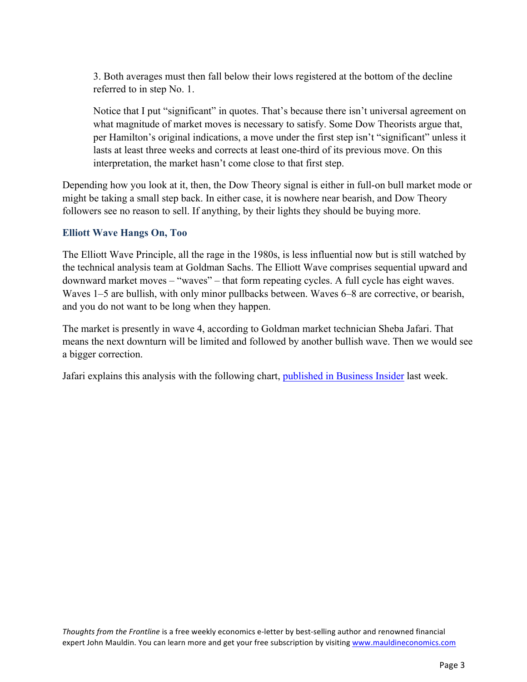3. Both averages must then fall below their lows registered at the bottom of the decline referred to in step No. 1.

Notice that I put "significant" in quotes. That's because there isn't universal agreement on what magnitude of market moves is necessary to satisfy. Some Dow Theorists argue that, per Hamilton's original indications, a move under the first step isn't "significant" unless it lasts at least three weeks and corrects at least one-third of its previous move. On this interpretation, the market hasn't come close to that first step.

Depending how you look at it, then, the Dow Theory signal is either in full-on bull market mode or might be taking a small step back. In either case, it is nowhere near bearish, and Dow Theory followers see no reason to sell. If anything, by their lights they should be buying more.

## **Elliott Wave Hangs On, Too**

The Elliott Wave Principle, all the rage in the 1980s, is less influential now but is still watched by the technical analysis team at Goldman Sachs. The Elliott Wave comprises sequential upward and downward market moves – "waves" – that form repeating cycles. A full cycle has eight waves. Waves 1–5 are bullish, with only minor pullbacks between. Waves 6–8 are corrective, or bearish, and you do not want to be long when they happen.

The market is presently in wave 4, according to Goldman market technician Sheba Jafari. That means the next downturn will be limited and followed by another bullish wave. Then we would see a bigger correction.

Jafari explains this analysis with the following chart, [published in Business Insider](http://www.businessinsider.com/stock-market-technical-analysis-correction-goldman-2017-8) last week.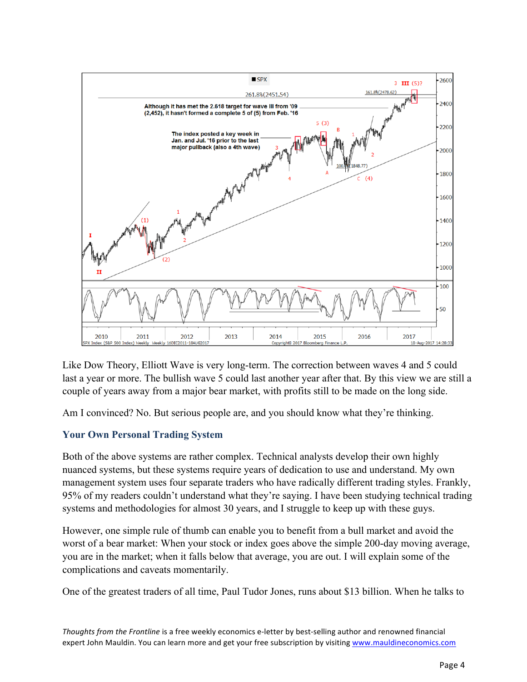

Like Dow Theory, Elliott Wave is very long-term. The correction between waves 4 and 5 could last a year or more. The bullish wave 5 could last another year after that. By this view we are still a couple of years away from a major bear market, with profits still to be made on the long side.

Am I convinced? No. But serious people are, and you should know what they're thinking.

### **Your Own Personal Trading System**

Both of the above systems are rather complex. Technical analysts develop their own highly nuanced systems, but these systems require years of dedication to use and understand. My own management system uses four separate traders who have radically different trading styles. Frankly, 95% of my readers couldn't understand what they're saying. I have been studying technical trading systems and methodologies for almost 30 years, and I struggle to keep up with these guys.

However, one simple rule of thumb can enable you to benefit from a bull market and avoid the worst of a bear market: When your stock or index goes above the simple 200-day moving average, you are in the market; when it falls below that average, you are out. I will explain some of the complications and caveats momentarily.

One of the greatest traders of all time, Paul Tudor Jones, runs about \$13 billion. When he talks to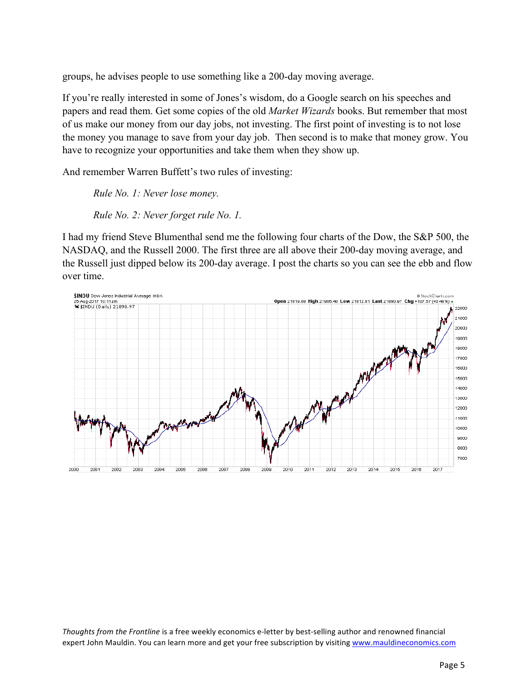groups, he advises people to use something like a 200-day moving average.

If you're really interested in some of Jones's wisdom, do a Google search on his speeches and papers and read them. Get some copies of the old *Market Wizards* books. But remember that most of us make our money from our day jobs, not investing. The first point of investing is to not lose the money you manage to save from your day job. Then second is to make that money grow. You have to recognize your opportunities and take them when they show up.

And remember Warren Buffett's two rules of investing:

*Rule No. 1: Never lose money. Rule No. 2: Never forget rule No. 1.*

I had my friend Steve Blumenthal send me the following four charts of the Dow, the S&P 500, the NASDAQ, and the Russell 2000. The first three are all above their 200-day moving average, and the Russell just dipped below its 200-day average. I post the charts so you can see the ebb and flow over time.

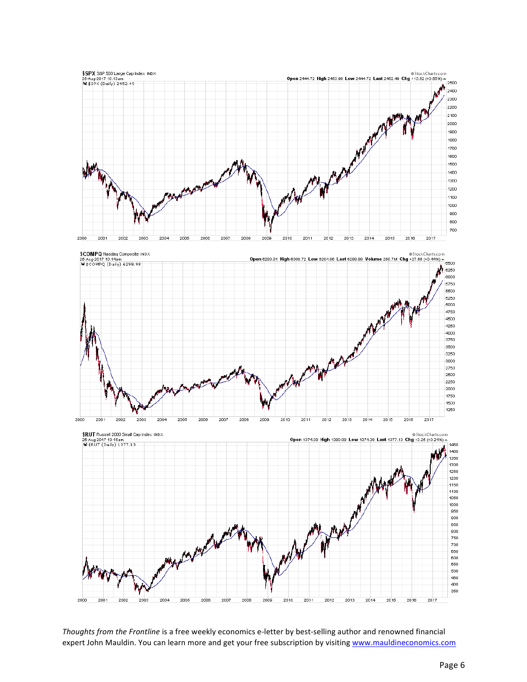





*Thoughts from the Frontline* is a free weekly economics e-letter by best-selling author and renowned financial expert John Mauldin. You can learn more and get your free subscription by visiting www.mauldineconomics.com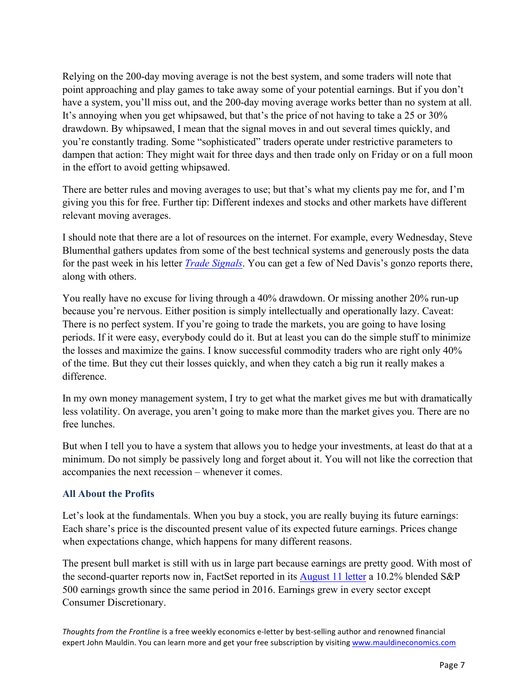Relying on the 200-day moving average is not the best system, and some traders will note that point approaching and play games to take away some of your potential earnings. But if you don't have a system, you'll miss out, and the 200-day moving average works better than no system at all. It's annoying when you get whipsawed, but that's the price of not having to take a 25 or 30% drawdown. By whipsawed, I mean that the signal moves in and out several times quickly, and you're constantly trading. Some "sophisticated" traders operate under restrictive parameters to dampen that action: They might wait for three days and then trade only on Friday or on a full moon in the effort to avoid getting whipsawed.

There are better rules and moving averages to use; but that's what my clients pay me for, and I'm giving you this for free. Further tip: Different indexes and stocks and other markets have different relevant moving averages.

I should note that there are a lot of resources on the internet. For example, every Wednesday, Steve Blumenthal gathers updates from some of the best technical systems and generously posts the data for the past week in his letter *[Trade Signals](https://www.cmgwealth.com/ri/trade-signals-augustseptember-seasonal-challenges-yet-trend-signals-bullish/)*. You can get a few of Ned Davis's gonzo reports there, along with others.

You really have no excuse for living through a 40% drawdown. Or missing another 20% run-up because you're nervous. Either position is simply intellectually and operationally lazy. Caveat: There is no perfect system. If you're going to trade the markets, you are going to have losing periods. If it were easy, everybody could do it. But at least you can do the simple stuff to minimize the losses and maximize the gains. I know successful commodity traders who are right only 40% of the time. But they cut their losses quickly, and when they catch a big run it really makes a difference.

In my own money management system, I try to get what the market gives me but with dramatically less volatility. On average, you aren't going to make more than the market gives you. There are no free lunches.

But when I tell you to have a system that allows you to hedge your investments, at least do that at a minimum. Do not simply be passively long and forget about it. You will not like the correction that accompanies the next recession – whenever it comes.

# **All About the Profits**

Let's look at the fundamentals. When you buy a stock, you are really buying its future earnings: Each share's price is the discounted present value of its expected future earnings. Prices change when expectations change, which happens for many different reasons.

The present bull market is still with us in large part because earnings are pretty good. With most of the second-quarter reports now in, FactSet reported in its [August 11 letter](https://insight.factset.com/hubfs/Resources Section/Research Desk/Earnings Insight/EarningsInsight_081117.pdf) a 10.2% blended S&P 500 earnings growth since the same period in 2016. Earnings grew in every sector except Consumer Discretionary.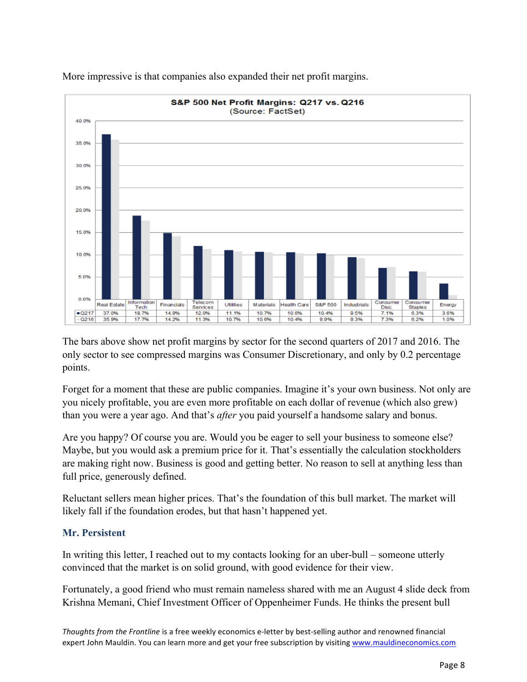

More impressive is that companies also expanded their net profit margins.

The bars above show net profit margins by sector for the second quarters of 2017 and 2016. The only sector to see compressed margins was Consumer Discretionary, and only by 0.2 percentage points.

Forget for a moment that these are public companies. Imagine it's your own business. Not only are you nicely profitable, you are even more profitable on each dollar of revenue (which also grew) than you were a year ago. And that's *after* you paid yourself a handsome salary and bonus.

Are you happy? Of course you are. Would you be eager to sell your business to someone else? Maybe, but you would ask a premium price for it. That's essentially the calculation stockholders are making right now. Business is good and getting better. No reason to sell at anything less than full price, generously defined.

Reluctant sellers mean higher prices. That's the foundation of this bull market. The market will likely fall if the foundation erodes, but that hasn't happened yet.

### **Mr. Persistent**

In writing this letter, I reached out to my contacts looking for an uber-bull – someone utterly convinced that the market is on solid ground, with good evidence for their view.

Fortunately, a good friend who must remain nameless shared with me an August 4 slide deck from Krishna Memani, Chief Investment Officer of Oppenheimer Funds. He thinks the present bull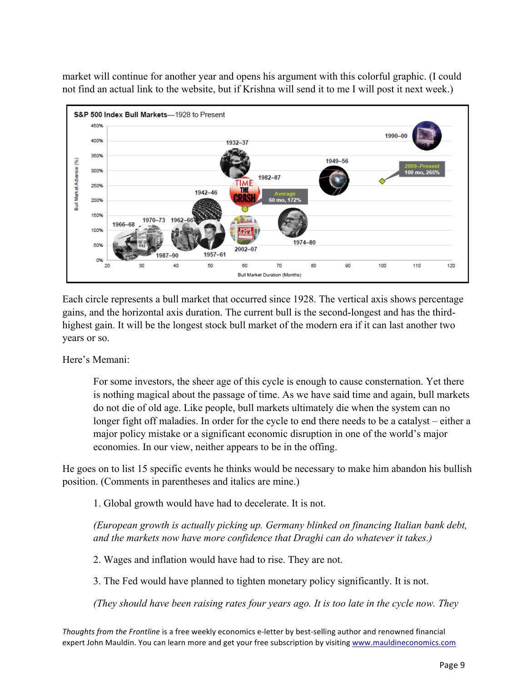market will continue for another year and opens his argument with this colorful graphic. (I could not find an actual link to the website, but if Krishna will send it to me I will post it next week.)



Each circle represents a bull market that occurred since 1928. The vertical axis shows percentage gains, and the horizontal axis duration. The current bull is the second-longest and has the thirdhighest gain. It will be the longest stock bull market of the modern era if it can last another two years or so.

Here's Memani:

For some investors, the sheer age of this cycle is enough to cause consternation. Yet there is nothing magical about the passage of time. As we have said time and again, bull markets do not die of old age. Like people, bull markets ultimately die when the system can no longer fight off maladies. In order for the cycle to end there needs to be a catalyst – either a major policy mistake or a significant economic disruption in one of the world's major economies. In our view, neither appears to be in the offing.

He goes on to list 15 specific events he thinks would be necessary to make him abandon his bullish position. (Comments in parentheses and italics are mine.)

1. Global growth would have had to decelerate. It is not.

*(European growth is actually picking up. Germany blinked on financing Italian bank debt, and the markets now have more confidence that Draghi can do whatever it takes.)*

2. Wages and inflation would have had to rise. They are not.

3. The Fed would have planned to tighten monetary policy significantly. It is not.

*(They should have been raising rates four years ago. It is too late in the cycle now. They*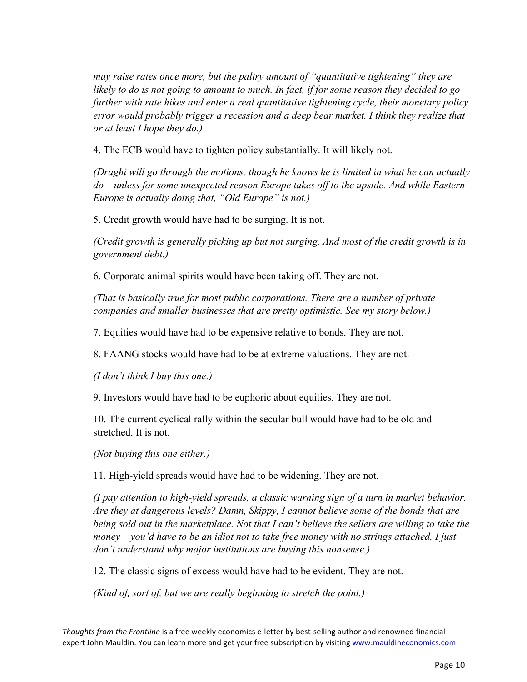*may raise rates once more, but the paltry amount of "quantitative tightening" they are likely to do is not going to amount to much. In fact, if for some reason they decided to go further with rate hikes and enter a real quantitative tightening cycle, their monetary policy error would probably trigger a recession and a deep bear market. I think they realize that – or at least I hope they do.)*

4. The ECB would have to tighten policy substantially. It will likely not.

*(Draghi will go through the motions, though he knows he is limited in what he can actually do – unless for some unexpected reason Europe takes off to the upside. And while Eastern Europe is actually doing that, "Old Europe" is not.)*

5. Credit growth would have had to be surging. It is not.

*(Credit growth is generally picking up but not surging. And most of the credit growth is in government debt.)*

6. Corporate animal spirits would have been taking off. They are not.

*(That is basically true for most public corporations. There are a number of private companies and smaller businesses that are pretty optimistic. See my story below.)*

7. Equities would have had to be expensive relative to bonds. They are not.

8. FAANG stocks would have had to be at extreme valuations. They are not.

*(I don't think I buy this one.)*

9. Investors would have had to be euphoric about equities. They are not.

10. The current cyclical rally within the secular bull would have had to be old and stretched. It is not.

*(Not buying this one either.)*

11. High-yield spreads would have had to be widening. They are not.

*(I pay attention to high-yield spreads, a classic warning sign of a turn in market behavior. Are they at dangerous levels? Damn, Skippy, I cannot believe some of the bonds that are being sold out in the marketplace. Not that I can't believe the sellers are willing to take the money – you'd have to be an idiot not to take free money with no strings attached. I just don't understand why major institutions are buying this nonsense.)*

12. The classic signs of excess would have had to be evident. They are not.

*(Kind of, sort of, but we are really beginning to stretch the point.)*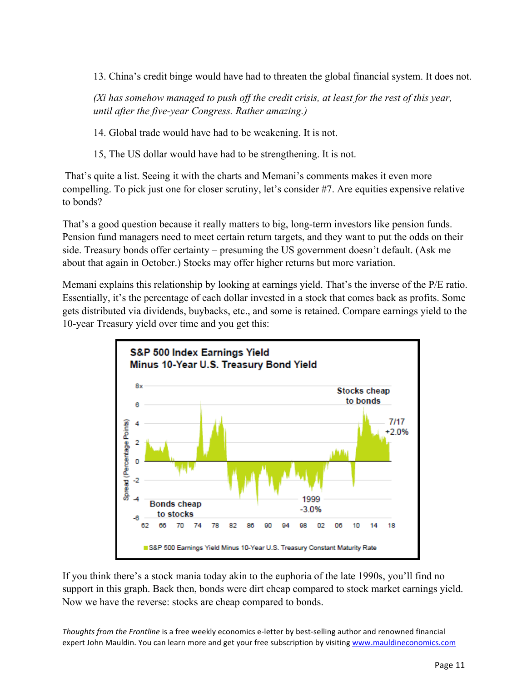13. China's credit binge would have had to threaten the global financial system. It does not.

*(Xi has somehow managed to push off the credit crisis, at least for the rest of this year, until after the five-year Congress. Rather amazing.)*

14. Global trade would have had to be weakening. It is not.

15, The US dollar would have had to be strengthening. It is not.

That's quite a list. Seeing it with the charts and Memani's comments makes it even more compelling. To pick just one for closer scrutiny, let's consider #7. Are equities expensive relative to bonds?

That's a good question because it really matters to big, long-term investors like pension funds. Pension fund managers need to meet certain return targets, and they want to put the odds on their side. Treasury bonds offer certainty – presuming the US government doesn't default. (Ask me about that again in October.) Stocks may offer higher returns but more variation.

Memani explains this relationship by looking at earnings yield. That's the inverse of the P/E ratio. Essentially, it's the percentage of each dollar invested in a stock that comes back as profits. Some gets distributed via dividends, buybacks, etc., and some is retained. Compare earnings yield to the 10-year Treasury yield over time and you get this:



If you think there's a stock mania today akin to the euphoria of the late 1990s, you'll find no support in this graph. Back then, bonds were dirt cheap compared to stock market earnings yield. Now we have the reverse: stocks are cheap compared to bonds.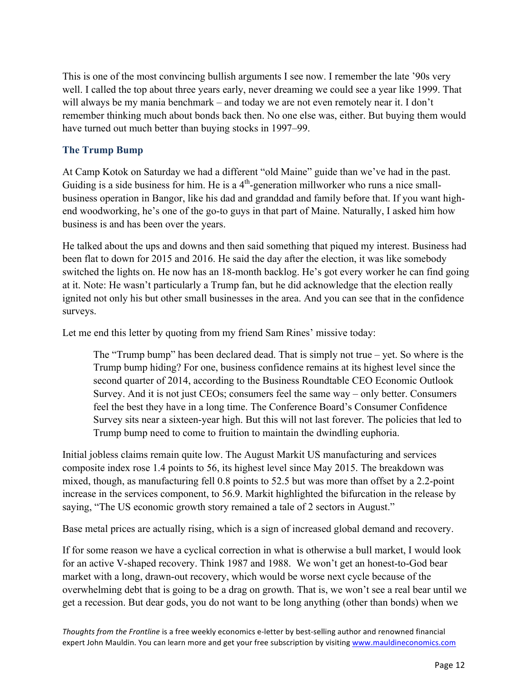This is one of the most convincing bullish arguments I see now. I remember the late '90s very well. I called the top about three years early, never dreaming we could see a year like 1999. That will always be my mania benchmark – and today we are not even remotely near it. I don't remember thinking much about bonds back then. No one else was, either. But buying them would have turned out much better than buying stocks in 1997–99.

# **The Trump Bump**

At Camp Kotok on Saturday we had a different "old Maine" guide than we've had in the past. Guiding is a side business for him. He is a  $4<sup>th</sup>$ -generation millworker who runs a nice smallbusiness operation in Bangor, like his dad and granddad and family before that. If you want highend woodworking, he's one of the go-to guys in that part of Maine. Naturally, I asked him how business is and has been over the years.

He talked about the ups and downs and then said something that piqued my interest. Business had been flat to down for 2015 and 2016. He said the day after the election, it was like somebody switched the lights on. He now has an 18-month backlog. He's got every worker he can find going at it. Note: He wasn't particularly a Trump fan, but he did acknowledge that the election really ignited not only his but other small businesses in the area. And you can see that in the confidence surveys.

Let me end this letter by quoting from my friend Sam Rines' missive today:

The "Trump bump" has been declared dead. That is simply not true – yet. So where is the Trump bump hiding? For one, business confidence remains at its highest level since the second quarter of 2014, according to the Business Roundtable CEO Economic Outlook Survey. And it is not just CEOs; consumers feel the same way – only better. Consumers feel the best they have in a long time. The Conference Board's Consumer Confidence Survey sits near a sixteen-year high. But this will not last forever. The policies that led to Trump bump need to come to fruition to maintain the dwindling euphoria.

Initial jobless claims remain quite low. The August Markit US manufacturing and services composite index rose 1.4 points to 56, its highest level since May 2015. The breakdown was mixed, though, as manufacturing fell 0.8 points to 52.5 but was more than offset by a 2.2-point increase in the services component, to 56.9. Markit highlighted the bifurcation in the release by saying, "The US economic growth story remained a tale of 2 sectors in August."

Base metal prices are actually rising, which is a sign of increased global demand and recovery.

If for some reason we have a cyclical correction in what is otherwise a bull market, I would look for an active V-shaped recovery. Think 1987 and 1988. We won't get an honest-to-God bear market with a long, drawn-out recovery, which would be worse next cycle because of the overwhelming debt that is going to be a drag on growth. That is, we won't see a real bear until we get a recession. But dear gods, you do not want to be long anything (other than bonds) when we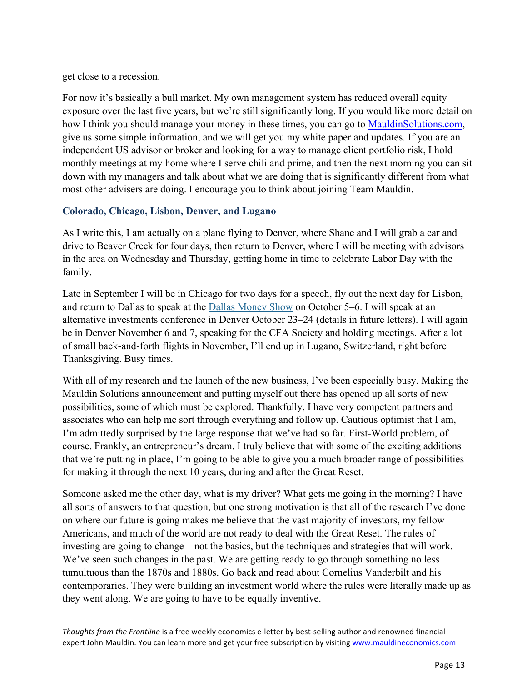get close to a recession.

For now it's basically a bull market. My own management system has reduced overall equity exposure over the last five years, but we're still significantly long. If you would like more detail on how I think you should manage your money in these times, you can go to [MauldinSolutions.com,](http://www.Mauldinsolutions.com)  give us some simple information, and we will get you my white paper and updates. If you are an independent US advisor or broker and looking for a way to manage client portfolio risk, I hold monthly meetings at my home where I serve chili and prime, and then the next morning you can sit down with my managers and talk about what we are doing that is significantly different from what most other advisers are doing. I encourage you to think about joining Team Mauldin.

## **Colorado, Chicago, Lisbon, Denver, and Lugano**

As I write this, I am actually on a plane flying to Denver, where Shane and I will grab a car and drive to Beaver Creek for four days, then return to Denver, where I will be meeting with advisors in the area on Wednesday and Thursday, getting home in time to celebrate Labor Day with the family.

Late in September I will be in Chicago for two days for a speech, fly out the next day for Lisbon, and return to Dallas to speak at the [Dallas Money Show](https://www.moneyshow.com/events/conferences/the-moneyshow/moneyshow-dallas/speakers/1610spk/john-mauldin/?scode=043351) on October 5–6. I will speak at an alternative investments conference in Denver October 23–24 (details in future letters). I will again be in Denver November 6 and 7, speaking for the CFA Society and holding meetings. After a lot of small back-and-forth flights in November, I'll end up in Lugano, Switzerland, right before Thanksgiving. Busy times.

With all of my research and the launch of the new business, I've been especially busy. Making the Mauldin Solutions announcement and putting myself out there has opened up all sorts of new possibilities, some of which must be explored. Thankfully, I have very competent partners and associates who can help me sort through everything and follow up. Cautious optimist that I am, I'm admittedly surprised by the large response that we've had so far. First-World problem, of course. Frankly, an entrepreneur's dream. I truly believe that with some of the exciting additions that we're putting in place, I'm going to be able to give you a much broader range of possibilities for making it through the next 10 years, during and after the Great Reset.

Someone asked me the other day, what is my driver? What gets me going in the morning? I have all sorts of answers to that question, but one strong motivation is that all of the research I've done on where our future is going makes me believe that the vast majority of investors, my fellow Americans, and much of the world are not ready to deal with the Great Reset. The rules of investing are going to change – not the basics, but the techniques and strategies that will work. We've seen such changes in the past. We are getting ready to go through something no less tumultuous than the 1870s and 1880s. Go back and read about Cornelius Vanderbilt and his contemporaries. They were building an investment world where the rules were literally made up as they went along. We are going to have to be equally inventive.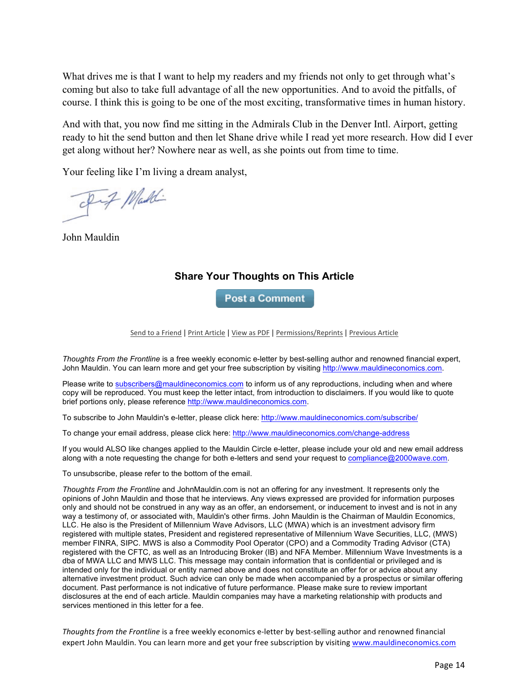What drives me is that I want to help my readers and my friends not only to get through what's coming but also to take full advantage of all the new opportunities. And to avoid the pitfalls, of course. I think this is going to be one of the most exciting, transformative times in human history.

And with that, you now find me sitting in the Admirals Club in the Denver Intl. Airport, getting ready to hit the send button and then let Shane drive while I read yet more research. How did I ever get along without her? Nowhere near as well, as she points out from time to time.

Your feeling like I'm living a dream analyst,

Fif Maddi

John Mauldin

## **Share Your Thoughts on This Article**

**Post a Comment** 

Send to a Friend | Print Article | View as PDF | Permissions/Reprints | Previous Article

*Thoughts From the Frontline* is a free weekly economic e-letter by best-selling author and renowned financial expert, John Mauldin. You can learn more and get your free subscription by visiting http://www.mauldineconomics.com.

Please write to subscribers@mauldineconomics.com to inform us of any reproductions, including when and where copy will be reproduced. You must keep the letter intact, from introduction to disclaimers. If you would like to quote brief portions only, please reference http://www.mauldineconomics.com.

To subscribe to John Mauldin's e-letter, please click here: http://www.mauldineconomics.com/subscribe/

To change your email address, please click here: http://www.mauldineconomics.com/change-address

If you would ALSO like changes applied to the Mauldin Circle e-letter, please include your old and new email address along with a note requesting the change for both e-letters and send your request to compliance@2000wave.com.

To unsubscribe, please refer to the bottom of the email.

*Thoughts From the Frontline* and JohnMauldin.com is not an offering for any investment. It represents only the opinions of John Mauldin and those that he interviews. Any views expressed are provided for information purposes only and should not be construed in any way as an offer, an endorsement, or inducement to invest and is not in any way a testimony of, or associated with, Mauldin's other firms. John Mauldin is the Chairman of Mauldin Economics, LLC. He also is the President of Millennium Wave Advisors, LLC (MWA) which is an investment advisory firm registered with multiple states, President and registered representative of Millennium Wave Securities, LLC, (MWS) member FINRA, SIPC. MWS is also a Commodity Pool Operator (CPO) and a Commodity Trading Advisor (CTA) registered with the CFTC, as well as an Introducing Broker (IB) and NFA Member. Millennium Wave Investments is a dba of MWA LLC and MWS LLC. This message may contain information that is confidential or privileged and is intended only for the individual or entity named above and does not constitute an offer for or advice about any alternative investment product. Such advice can only be made when accompanied by a prospectus or similar offering document. Past performance is not indicative of future performance. Please make sure to review important disclosures at the end of each article. Mauldin companies may have a marketing relationship with products and services mentioned in this letter for a fee.